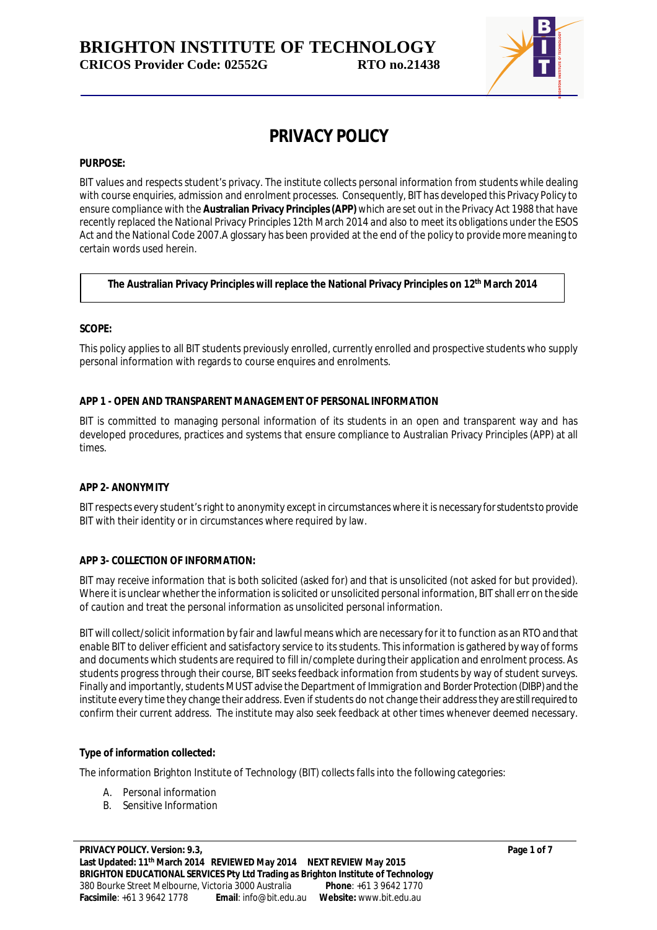

# **PRIVACY POLICY**

### **PURPOSE:**

BIT values and respects student's privacy. The institute collects personal information from students while dealing with course enquiries, admission and enrolment processes. Consequently, BIT has developed this Privacy Policy to ensure compliance with the **Australian Privacy Principles(APP)** which are set out in the Privacy Act 1988 that have recently replaced the National Privacy Principles 12th March 2014 and also to meet its obligations under the ESOS Act and the National Code 2007.A glossary has been provided at the end of the policy to provide more meaning to certain words used herein.

# **The Australian Privacy Principles will replace the National Privacy Principles on 12th March 2014**

#### **SCOPE:**

This policy applies to all BIT students previously enrolled, currently enrolled and prospective students who supply personal information with regards to course enquires and enrolments.

#### **APP 1 - OPEN AND TRANSPARENT MANAGEMENT OF PERSONAL INFORMATION**

BIT is committed to managing personal information of its students in an open and transparent way and has developed procedures, practices and systems that ensure compliance to Australian Privacy Principles (APP) at all times.

#### **APP 2- ANONYMITY**

BIT respects every student's right to anonymity except in circumstances where it is necessary for studentsto provide BIT with their identity or in circumstances where required by law.

# **APP 3- COLLECTION OF INFORMATION:**

BIT may receive information that is both solicited (asked for) and that is unsolicited (not asked for but provided). Where it is unclear whether the information is solicited or unsolicited personal information, BIT shall err on the side of caution and treat the personal information as unsolicited personal information.

BIT will collect/solicit information by fair and lawful means which are necessary for it to function as an RTO and that enable BIT to deliver efficient and satisfactory service to its students. This information is gathered by way of forms and documents which students are required to fill in/complete during their application and enrolment process. As students progress through their course, BIT seeks feedback information from students by way of student surveys. Finally and importantly, students MUST advise the Department of Immigration and Border Protection (DIBP) and the institute every time they change their address. Even if students do not change their address they are still required to confirm their current address. The institute may also seek feedback at other times whenever deemed necessary.

#### **Type of information collected:**

The information Brighton Institute of Technology (BIT) collects falls into the following categories:

- A. Personal information
- B. Sensitive Information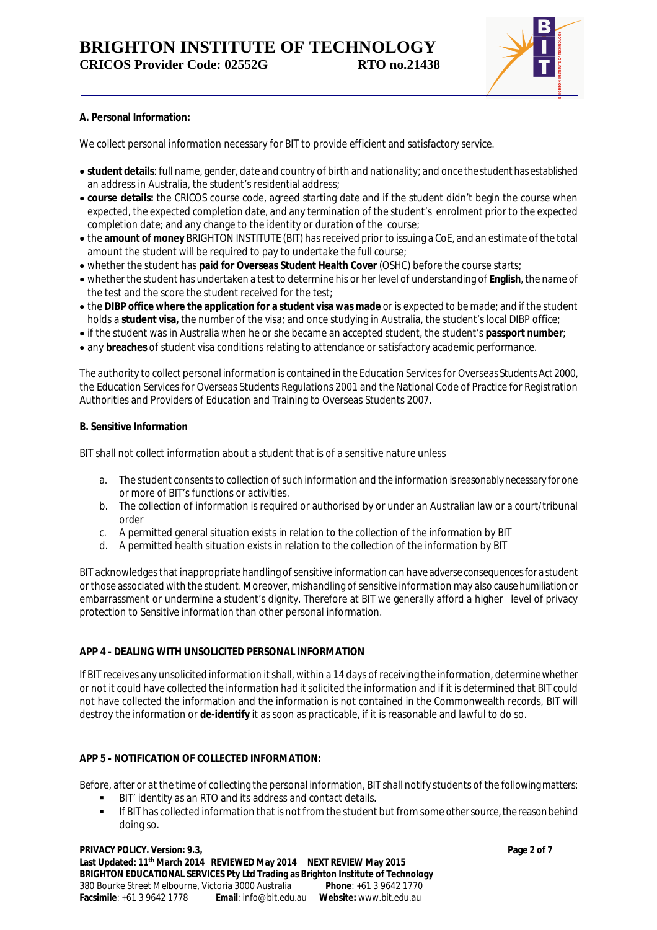

# **A. Personal Information:**

We collect personal information necessary for BIT to provide efficient and satisfactory service.

- **student details**: full name, gender, date and country of birth and nationality; and once the student has established an address in Australia, the student's residential address;
- **course details:** the CRICOS course code, agreed starting date and if the student didn't begin the course when expected, the expected completion date, and any termination of the student's enrolment prior to the expected completion date; and any change to the identity or duration of the course;
- the **amount of money** BRIGHTON INSTITUTE (BIT) has received prior to issuing a CoE, and an estimate of the total amount the student will be required to pay to undertake the full course;
- whether the student has **paid for Overseas Student Health Cover** (OSHC) before the course starts;
- whether the student has undertaken a test to determine his or her level of understanding of **English**, the name of the test and the score the student received for the test;
- the **DIBP office where the application for a student visa was made** or is expected to be made; and if the student holds a **student visa,** the number of the visa; and once studying in Australia, the student's local DIBP office;
- if the student was in Australia when he or she became an accepted student, the student's **passport number**;
- any **breaches** of student visa conditions relating to attendance or satisfactory academic performance.

The authority to collect personal information is contained in the Education Services for Overseas Students Act 2000, the Education Services for Overseas Students Regulations 2001 and the National Code of Practice for Registration Authorities and Providers of Education and Training to Overseas Students 2007.

#### **B. Sensitive Information**

BIT shall not collect information about a student that is of a sensitive nature unless

- a. The student consents to collection of such information and the information is reasonably necessary forone or more of BIT's functions or activities.
- b. The collection of information is required or authorised by or under an Australian law or a court/tribunal order
- c. A permitted general situation exists in relation to the collection of the information by BIT
- d. A permitted health situation exists in relation to the collection of the information by BIT

BIT acknowledges that inappropriate handling of sensitive information can have adverse consequences for a student or those associated with the student. Moreover, mishandling of sensitive information may also cause humiliation or embarrassment or undermine a student's dignity. Therefore at BIT we generally afford a higher level of privacy protection to *Sensitive information* than other personal information.

# **APP 4 - DEALING WITH UNSOLICITED PERSONAL INFORMATION**

If BIT receives any unsolicited information it shall, within a 14 days of receiving the information, determine whether or not it could have collected the information had it solicited the information and if it is determined that BIT could not have collected the information and the information is not contained in the Commonwealth records, BIT will destroy the information or **de-identify** it as soon as practicable, if it is reasonable and lawful to do so.

# **APP 5 - NOTIFICATION OF COLLECTED INFORMATION:**

Before, after or at the time of collecting the personal information, BIT shall notify students of the following matters:

- BIT' identity as an RTO and its address and contact details.
- If BIT has collected information that is not from the student but from some other source, the reason behind doing so.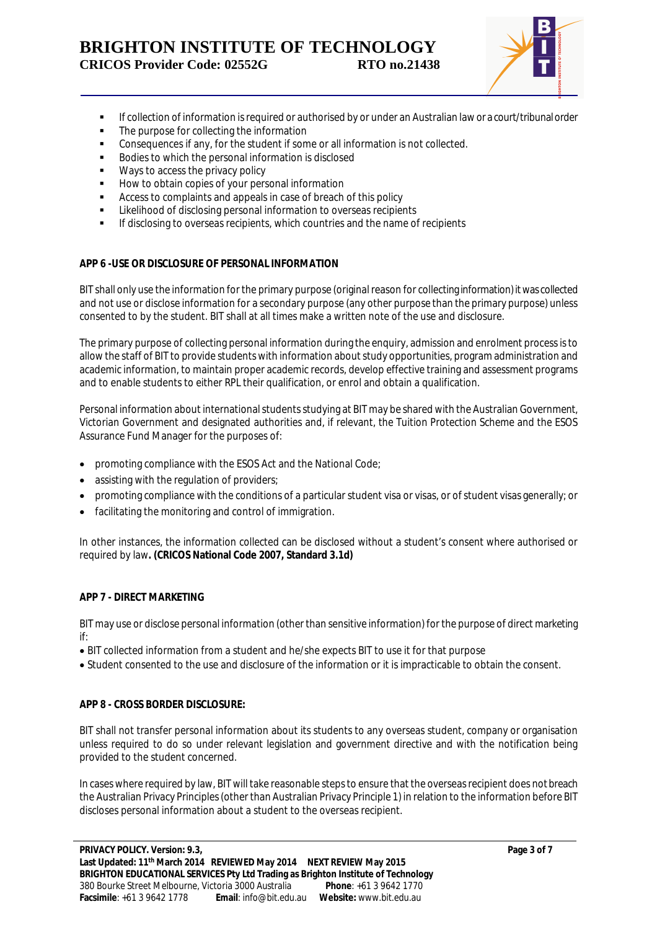

- **If collection of information is required or authorised by or under an Australian law or a court/tribunal order**
- The purpose for collecting the information
- Consequences if any, for the student if some or all information is not collected.
- **Bodies to which the personal information is disclosed**
- **Ways to access the privacy policy**
- **How to obtain copies of your personal information**
- Access to complaints and appeals in case of breach of this policy
- **EXECTED** Likelihood of disclosing personal information to overseas recipients
- **If disclosing to overseas recipients, which countries and the name of recipients**

# **APP 6 -USE OR DISCLOSURE OF PERSONAL INFORMATION**

BIT shall only use the information for the primary purpose (original reason for collecting information) it was collected and not use or disclose information for a secondary purpose (any other purpose than the primary purpose) unless consented to by the student. BIT shall at all times make a written note of the use and disclosure.

The primary purpose of collecting personal information during the enquiry, admission and enrolment process is to allow the staff of BIT to provide students with information about study opportunities, program administration and academic information, to maintain proper academic records, develop effective training and assessment programs and to enable students to either RPL their qualification, or enrol and obtain a qualification.

Personal information about international students studying at BIT may be shared with the Australian Government, Victorian Government and designated authorities and, if relevant, the Tuition Protection Scheme and the ESOS Assurance Fund Manager for the purposes of:

- promoting compliance with the ESOS Act and the National Code;
- assisting with the regulation of providers;
- promoting compliance with the conditions of a particular student visa or visas, or of student visas generally; or
- facilitating the monitoring and control of immigration.

In other instances, the information collected can be disclosed without a student's consent where authorised or required by law**. (CRICOS National Code 2007, Standard 3.1d)**

# **APP 7 - DIRECT MARKETING**

BIT may use or disclose personal information (other than sensitive information) for the purpose of direct marketing if:

BIT collected information from a student and he/she expects BIT to use it for that purpose

Student consented to the use and disclosure of the information or it is impracticable to obtain the consent.

# **APP 8 - CROSS BORDER DISCLOSURE:**

BIT shall not transfer personal information about its students to any overseas student, company or organisation unless required to do so under relevant legislation and government directive and with the notification being provided to the student concerned.

In cases where required by law, BIT will take reasonable steps to ensure that the overseas recipient does not breach the Australian Privacy Principles (other than Australian Privacy Principle 1) in relation to the information before BIT discloses personal information about a student to the overseas recipient.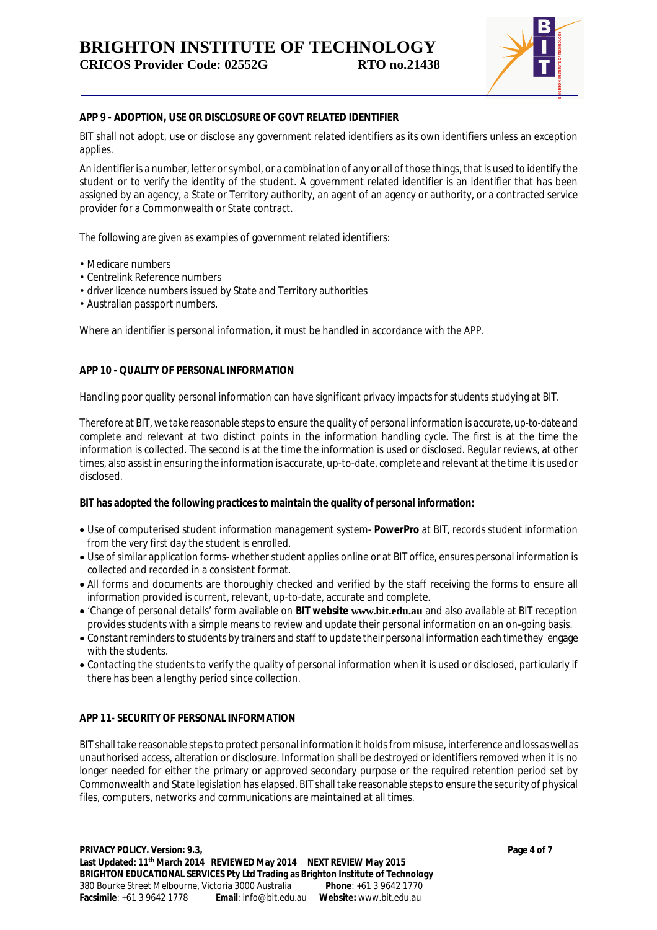

### **APP 9 - ADOPTION, USE OR DISCLOSURE OF GOVT RELATED IDENTIFIER**

BIT shall not adopt, use or disclose any government related identifiers as its own identifiers unless an exception applies.

An identifier is a number, letter or symbol, or a combination of any or all of those things, that is used to identify the student or to verify the identity of the student. A government related identifier is an identifier that has been assigned by an agency, a State or Territory authority, an agent of an agency or authority, or a contracted service provider for a Commonwealth or State contract.

The following are given as examples of government related identifiers:

- Medicare numbers
- Centrelink Reference numbers
- driver licence numbers issued by State and Territory authorities
- Australian passport numbers.

Where an identifier is personal information, it must be handled in accordance with the APP.

#### **APP 10 - QUALITY OF PERSONAL INFORMATION**

Handling poor quality personal information can have significant privacy impacts for students studying at BIT.

Therefore at BIT, we take reasonable steps to ensure the quality of personal information is accurate, up-to-date and complete and relevant at two distinct points in the information handling cycle. The first is at the time the information is collected. The second is at the time the information is used or disclosed. Regular reviews, at other times, also assist in ensuring the information is accurate, up-to-date, complete and relevant at the time it is used or disclosed.

#### **BIT has adopted the following practices to maintain the quality of personal information:**

- Use of computerised student information management system- **PowerPro** at BIT, records student information from the very first day the student is enrolled.
- Use of similar application forms- whether student applies online or at BIT office, ensures personal information is collected and recorded in a consistent format.
- All forms and documents are thoroughly checked and verified by the staff receiving the forms to ensure all information provided is current, relevant, up-to-date, accurate and complete.
- 'Change of personal details' form available on **BIT website www.bit.edu.au** and also available at BIT reception provides students with a simple means to review and update their personal information on an on-going basis.
- Constant reminders to students by trainers and staff to update their personal information each time they engage with the students.
- Contacting the students to verify the quality of personal information when it is used or disclosed, particularly if there has been a lengthy period since collection.

#### **APP 11- SECURITY OF PERSONAL INFORMATION**

BIT shall take reasonable steps to protect personal information it holds from misuse, interference and loss as well as unauthorised access, alteration or disclosure. Information shall be destroyed or identifiers removed when it is no longer needed for either the primary or approved secondary purpose or the required retention period set by Commonwealth and State legislation has elapsed. BIT shall take reasonable steps to ensure the security of physical files, computers, networks and communications are maintained at all times.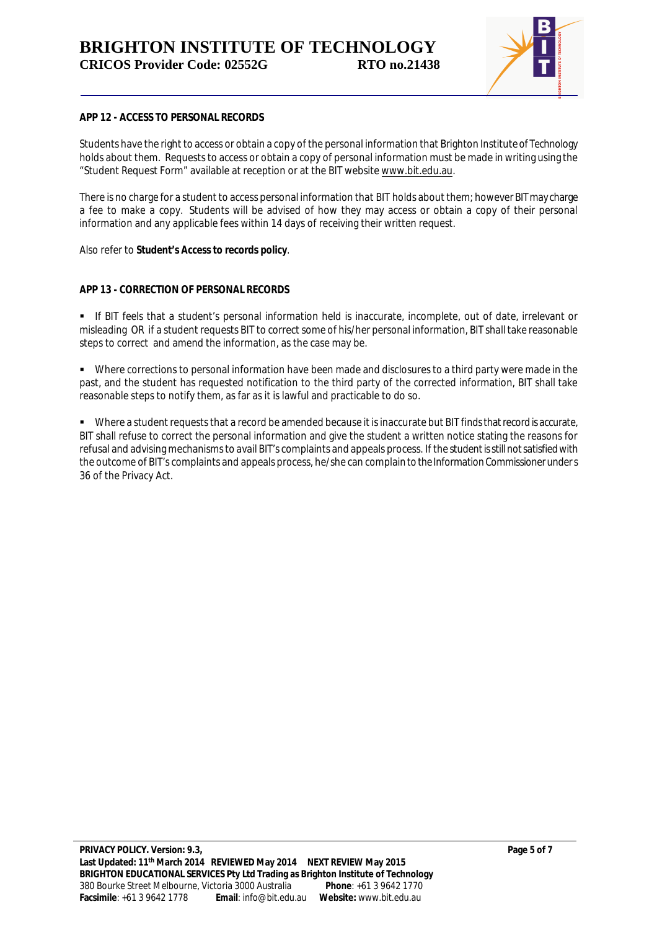

#### **APP 12 - ACCESS TO PERSONAL RECORDS**

Students have the right to access or obtain a copy of the personal information that Brighton Institute of Technology holds about them. Requests to access or obtain a copy of personal information must be made in writing using the "Student Request Form" available at reception or at the BIT website www.bit.edu.au.

There is no charge for a student to access personal information that BIT holds about them; however BIT may charge a fee to make a copy. Students will be advised of how they may access or obtain a copy of their personal information and any applicable fees within 14 days of receiving their written request.

Also refer to *Student's Access to records policy.*

# **APP 13 - CORRECTION OF PERSONAL RECORDS**

 If BIT feels that a student's personal information held is inaccurate, incomplete, out of date, irrelevant or misleading OR if a student requests BIT to correct some of his/her personal information, BIT shall take reasonable steps to correct and amend the information, as the case may be.

 Where corrections to personal information have been made and disclosures to a third party were made in the past, and the student has requested notification to the third party of the corrected information, BIT shall take reasonable steps to notify them, as far as it is lawful and practicable to do so.

 Where a student requests that a record be amended because it is inaccurate but BIT finds that record is accurate, BIT shall refuse to correct the personal information and give the student a written notice stating the reasons for refusal and advising mechanisms to avail BIT's complaints and appeals process. If the student is still not satisfied with the outcome of BIT's complaints and appeals process, he/she can complain to the Information Commissioner under s 36 of the Privacy Act.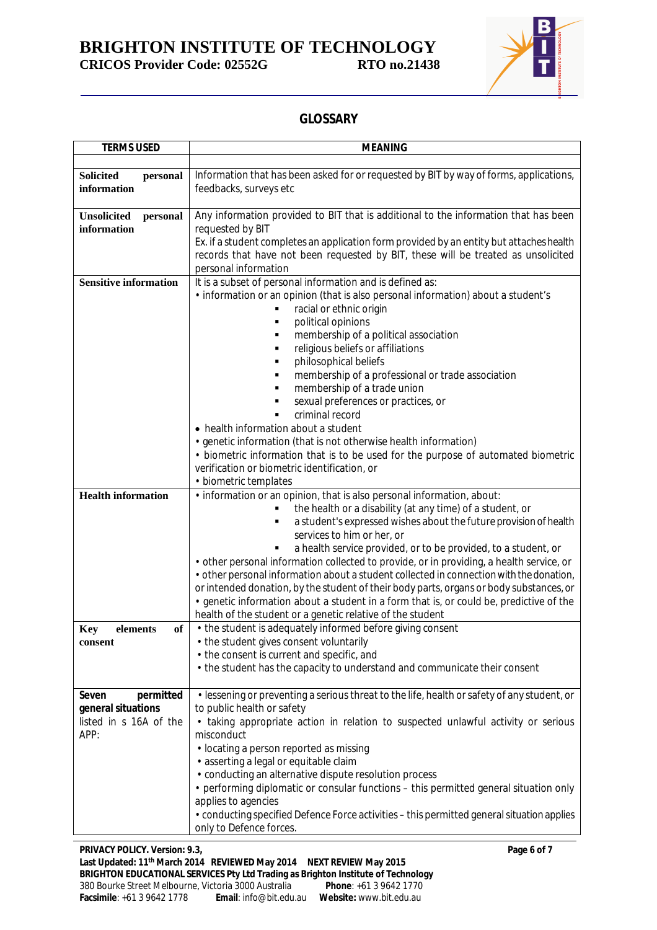**BRIGHTON INSTITUTE OF TECHNOLOGY CRICOS Provider Code: 02552G RTO no.21438**



# **GLOSSARY**

| <b>TERMS USED</b>                           | <b>MEANING</b>                                                                                                                                                                |
|---------------------------------------------|-------------------------------------------------------------------------------------------------------------------------------------------------------------------------------|
|                                             |                                                                                                                                                                               |
| <b>Solicited</b><br>personal<br>information | Information that has been asked for or requested by BIT by way of forms, applications,<br>feedbacks, surveys etc                                                              |
| <b>Unsolicited</b><br>personal              | Any information provided to BIT that is additional to the information that has been                                                                                           |
| information                                 | requested by BIT                                                                                                                                                              |
|                                             | Ex. if a student completes an application form provided by an entity but attaches health<br>records that have not been requested by BIT, these will be treated as unsolicited |
|                                             | personal information                                                                                                                                                          |
| <b>Sensitive information</b>                | It is a subset of personal information and is defined as:                                                                                                                     |
|                                             | . information or an opinion (that is also personal information) about a student's                                                                                             |
|                                             | racial or ethnic origin                                                                                                                                                       |
|                                             | political opinions<br>٠                                                                                                                                                       |
|                                             | membership of a political association                                                                                                                                         |
|                                             | religious beliefs or affiliations<br>٠                                                                                                                                        |
|                                             | philosophical beliefs                                                                                                                                                         |
|                                             | membership of a professional or trade association                                                                                                                             |
|                                             | membership of a trade union                                                                                                                                                   |
|                                             | sexual preferences or practices, or                                                                                                                                           |
|                                             | criminal record                                                                                                                                                               |
|                                             | • health information about a student                                                                                                                                          |
|                                             | • genetic information (that is not otherwise health information)                                                                                                              |
|                                             | • biometric information that is to be used for the purpose of automated biometric                                                                                             |
|                                             | verification or biometric identification, or                                                                                                                                  |
|                                             | • biometric templates                                                                                                                                                         |
| <b>Health information</b>                   | . information or an opinion, that is also personal information, about:                                                                                                        |
|                                             | the health or a disability (at any time) of a student, or<br>٠                                                                                                                |
|                                             | a student's expressed wishes about the future provision of health<br>٠                                                                                                        |
|                                             | services to him or her, or                                                                                                                                                    |
|                                             | a health service provided, or to be provided, to a student, or<br>• other personal information collected to provide, or in providing, a health service, or                    |
|                                             | • other personal information about a student collected in connection with the donation,                                                                                       |
|                                             | or intended donation, by the student of their body parts, organs or body substances, or                                                                                       |
|                                             | • genetic information about a student in a form that is, or could be, predictive of the                                                                                       |
|                                             | health of the student or a genetic relative of the student                                                                                                                    |
| elements<br>of<br><b>Key</b>                | • the student is adequately informed before giving consent                                                                                                                    |
| consent                                     | • the student gives consent voluntarily                                                                                                                                       |
|                                             | • the consent is current and specific, and                                                                                                                                    |
|                                             | • the student has the capacity to understand and communicate their consent                                                                                                    |
|                                             |                                                                                                                                                                               |
| permitted<br>Seven                          | . lessening or preventing a serious threat to the life, health or safety of any student, or                                                                                   |
| general situations                          | to public health or safety                                                                                                                                                    |
| listed in s 16A of the                      | • taking appropriate action in relation to suspected unlawful activity or serious                                                                                             |
| APP:                                        | misconduct                                                                                                                                                                    |
|                                             | • locating a person reported as missing                                                                                                                                       |
|                                             | • asserting a legal or equitable claim                                                                                                                                        |
|                                             | • conducting an alternative dispute resolution process                                                                                                                        |
|                                             | • performing diplomatic or consular functions - this permitted general situation only                                                                                         |
|                                             | applies to agencies                                                                                                                                                           |
|                                             | • conducting specified Defence Force activities - this permitted general situation applies                                                                                    |
|                                             | only to Defence forces.                                                                                                                                                       |